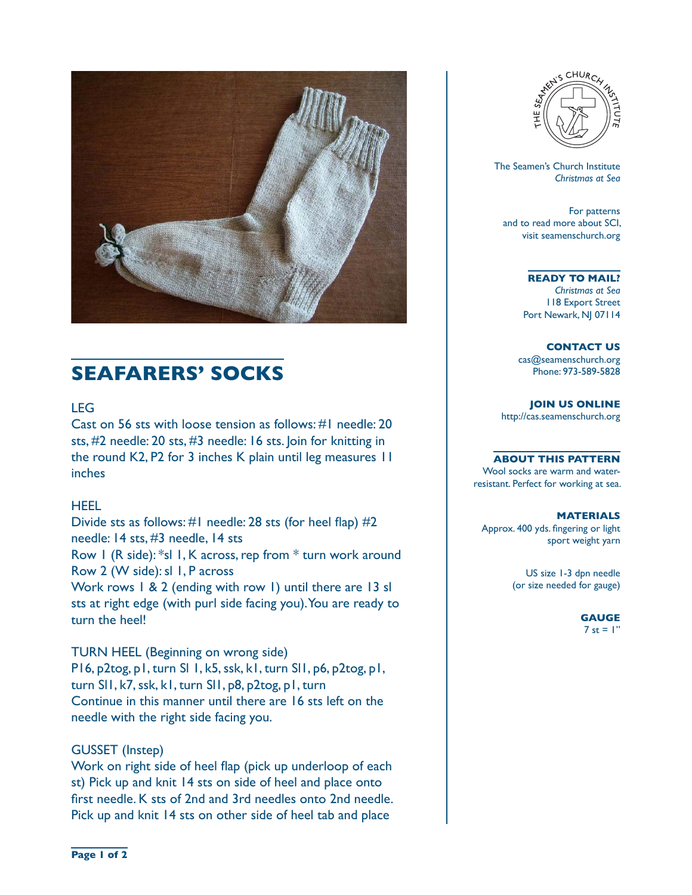

# **SEAFARERS' SOCKS**

## LEG

Cast on 56 sts with loose tension as follows: #1 needle: 20 sts, #2 needle: 20 sts, #3 needle: 16 sts. Join for knitting in the round K2, P2 for 3 inches K plain until leg measures 11 inches

## HEEL

Divide sts as follows: #1 needle: 28 sts (for heel flap) #2 needle: 14 sts, #3 needle, 14 sts

Row 1 (R side): \*sl 1, K across, rep from \* turn work around Row 2 (W side): sl 1, P across

Work rows 1 & 2 (ending with row 1) until there are 13 sl sts at right edge (with purl side facing you). You are ready to turn the heel!

## TURN HEEL (Beginning on wrong side)

P16, p2tog, p1, turn Sl 1, k5, ssk, k1, turn Sl1, p6, p2tog, p1, turn Sl1, k7, ssk, k1, turn Sl1, p8, p2tog, p1, turn Continue in this manner until there are 16 sts left on the needle with the right side facing you.

## GUSSET (Instep)

Work on right side of heel flap (pick up underloop of each st) Pick up and knit 14 sts on side of heel and place onto first needle. K sts of 2nd and 3rd needles onto 2nd needle. Pick up and knit 14 sts on other side of heel tab and place



 The Seamen's Church Institute *Christmas at Sea*

For patterns and to read more about SCI, visit seamenschurch.org

#### **READY TO MAIL?**

*Christmas at Sea* 118 Export Street Port Newark, NJ 07114

**CONTACT US** cas@seamenschurch.org Phone: 973-589-5828

**JOIN US ONLINE**  http://cas.seamenschurch.org

#### **ABOUT THIS PATTERN**

Wool socks are warm and waterresistant. Perfect for working at sea.

#### **MATERIALS**

Approx. 400 yds. fingering or light sport weight yarn

> US size 1-3 dpn needle (or size needed for gauge)

#### **GAUGE** 7 st =  $\mathsf{I}$ "